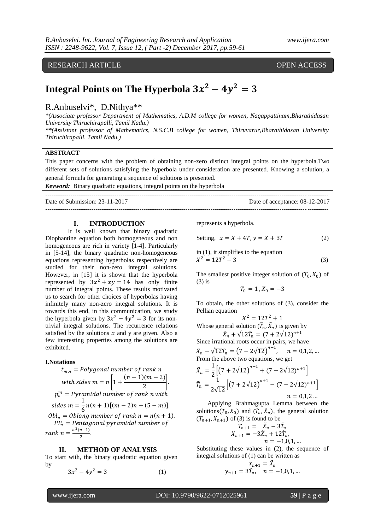# RESEARCH ARTICLE OPEN ACCESS

# **Integral Points on The Hyperbola**  $3x^2 - 4y^2 = 3$

## R.Anbuselvi\*, D.Nithya\*\*

*\*(Associate professor Department of Mathematics, A.D.M college for women, Nagappattinam,Bharathidasan University Thiruchirapalli, Tamil Nadu.)*

*\*\*(Assistant professor of Mathematics, N.S.C.B college for women, Thiruvarur,Bharathidasan University Thiruchirapalli, Tamil Nadu.)*

#### **ABSTRACT**

This paper concerns with the problem of obtaining non-zero distinct integral points on the hyperbola.Two different sets of solutions satisfying the hyperbola under consideration are presented. Knowing a solution, a general formula for generating a sequence of solutions is presented.

**---------------------------------------------------------------------------------------------------------------------------------------**

**---------------------------------------------------------------------------------------------------------------------------------------**

*Keyword:* Binary quadratic equations, integral points on the hyperbola

Date of Submission: 23-11-2017 Date of acceptance: 08-12-2017

**I. INTRODUCTION**

It is well known that binary quadratic Diophantine equation both homogeneous and non homogeneous are rich in variety [1-4]. Particularly in [5-14], the binary quadratic non-homogeneous equations representing hyperbolas respectively are studied for their non-zero integral solutions. However, in [15] it is shown that the hyperbola represented by  $3x^2 + xy = 14$  has only finite number of integral points. These results motivated us to search for other choices of hyperbolas having infinitely many non-zero integral solutions. It is towards this end, in this communication, we study the hyperbola given by  $3x^2 - 4y^2 = 3$  for its nontrivial integral solutions. The recurrence relations satisfied by the solutions  $x$  and y are given. Also a few interesting properties among the solutions are exhibited.

#### **I.Notations**

*t*<sub>m,n</sub> = Polygonal number of rank n  
\nwith sides m = 
$$
n \left[ 1 + \frac{(n-1)(m-2)}{2} \right]
$$
.  
\n $p_n^m$  = Pyramidal number of rank n with  
\nsides m =  $\frac{1}{6}n(n+1)[(m-2)n + (5-m)]$ .  
\n $Obl_n$  = Oblong number of rank n =  $n(n + 1)$ .  
\n $PP_n$  = Pentagonal pyramidal number of  
\nrank n =  $\frac{n^2(n+1)}{2}$ .

#### **II. METHOD OF ANALYSIS**

To start with, the binary quadratic equation given by

$$
3x^2 - 4y^2 = 3 \tag{1}
$$

represents a hyperbola.

Setting, 
$$
x = X + 4T
$$
,  $y = X + 3T$  (2)

in (1), it simplifies to the equation  

$$
X^2 = 12T^2 - 3
$$
 (3)

The smallest positive integer solution of  $(T_0, X_0)$  of (3) is

$$
T_0=1\,,X_0=-3
$$

To obtain, the other solutions of (3), consider the Pellian equation  $\overline{2}$   $\overline{2}$ 

$$
X^2 = 12T^2 + 1
$$
  
Whose general solution  $(\tilde{T}_n, \tilde{X}_n)$  is given by  

$$
\tilde{X}_n + \sqrt{12}\tilde{T}_n = (7 + 2\sqrt{12})^{n+1}
$$

Since irrational roots occur in pairs, we have  $\tilde{X}_n - \sqrt{12}\tilde{T}_n = (7 - 2\sqrt{12})^{n+1}, \quad n = 0, 1, 2, ...$ From the above two equations, we get

$$
\tilde{X}_n = \frac{1}{2} \Big[ \big(7 + 2\sqrt{12}\big)^{n+1} + (7 - 2\sqrt{12})^{n+1} \Big] \n\tilde{T}_n = \frac{1}{2\sqrt{12}} \Big[ \big(7 + 2\sqrt{12}\big)^{n+1} - (7 - 2\sqrt{12})^{n+1} \Big] \n n = 0,1,2...
$$

 Applying Brahmagupta Lemma between the solutions( $T_0, X_0$ ) and ( $\tilde{T}_n, \tilde{X}_n$ ), the general solution  $(T_{n+1}, X_{n+1})$  of (3) is found to be

$$
T_{n+1} = \tilde{X}_n - 3\tilde{T}_n
$$
  
\n
$$
X_{n+1} = -3\tilde{X}_n + 12\tilde{T}_n,
$$
  
\n
$$
n = -1,0,1,...
$$

Substituting these values in (2), the sequence of integral solutions of (1) can be written as

$$
y_{n+1} = \tilde{X}_{n} y_{n+1} = 3\tilde{T}_{n}, \quad n = -1, 0, 1, ...
$$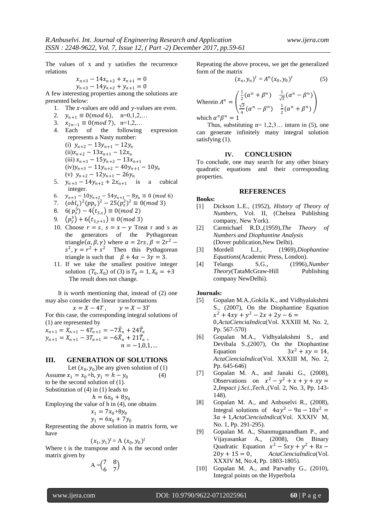The values of x and y satisfies the recurrence relations

$$
x_{n+3} - 14x_{n+2} + x_{n+1} = 0
$$
  

$$
y_{n+3} - 14y_{n+2} + y_{n+1} = 0
$$

A few interesting properties among the solutions are presented below:

- 1. The  $x$ -values are odd and  $y$ -values are even.
- 2.  $y_{n+1} \equiv 0 \pmod{6}$ , n=0,1,2,...
- 3.  $x_{2n-1} \equiv 0 \pmod{7}$ , n=1,2,...
- 4. Each of the following expression represents a Nasty number: (i)  $y_{n+2} - 13y_{n+1} - 12y_n$  $(ii)x_{n+2} - 13x_{n+1} - 12x_n$ (iii)  $x_{n+3} - 15y_{n+2} - 13x_{n+1}$  $(iv)y_{n+3} - 11y_{n+2} - 40y_{n+1} - 10y_n$ (v)  $y_{n+2} - 12y_{n+1} - 26y_n$
- 5.  $y_{n+3} 14y_{n+2} + 2x_{n+1}$  is a cubical integer.
- 6.  $y_{n+3} 10y_{n+2} 54y_{n+1} 8y_n \equiv 0 \pmod{6}$
- 7.  $(\rho b l_x)^2 (p p_x)^2 25 (p_x^2)^2 \equiv 0 \pmod{3}$
- 8.  $6(p_x^5) 4(t_{3,x}) \equiv 0 \pmod{2}$
- 9.  $(p_y^3) + 6(t_{3,y+1}) \equiv 0 \pmod{3}$
- 10. Choose  $r = s$ ,  $s = x y$  Treat r and s as the generators of the Pythagorean triangle  $(\alpha, \beta, \gamma)$  where  $\alpha = 2rs$ ,  $\beta = 2r^2$  –  $s^2$ ,  $\gamma = r^2 + s^2$  Then this Pythagorean triangle is such that  $\beta + 4\alpha - 3\gamma = 3$ .
- 11. If we take the smallest positive integer solution  $(T_0, X_0)$  of (3) is  $T_0 = 1, X_0 = +3$ The result does not change.

 It is worth mentioning that, instead of (2) one may also consider the linear transformations

$$
x = X - 4T, \qquad y = X - 3T
$$

For this case, the corresponding integral solutions of (1) are represented by

 $x_{n+1} = X_{n+1} - 4T_{n+1} = -7\tilde{X}_n + 24\tilde{T}_n$ <br>  $y_{n+1} = X_{n+1} - 3T_{n+1} = -6\tilde{X}_n + 21\tilde{T}_n$ ,  $n = -1,0,1,...$ 

#### **III. GENERATION OF SOLUTIONS**

Let  $(x_0, y_0)$  be any given solution of (1) Assume  $x_1 = x_0 + h$ ,  $y_1 = h - y_0$ (4) to be the second solution of (1). Substitution of (4) in (1) leads to

 $h = 6x_0 + 8y_0$ 

Employing the value of h in (4), one obtains

$$
x_1 = 7x_0 + 8y_0
$$

$$
y_1 = 6x_0 + 7y_0
$$

Representing the above solution in matrix form, we have

$$
(x_1, y_1)^t = A (x_0, y_0)^t
$$

Where t is the transpose and A is the second order matrix given by

$$
A = \begin{pmatrix} 7 & 8 \\ 6 & 7 \end{pmatrix}
$$

Repeating the above process, we get the generalized form of the matrix

$$
(x_n, y_n)^t = A^n (x_0, y_0)^t
$$
 (5)

Wherein 
$$
A^n = \begin{pmatrix} \frac{1}{2}(\alpha^n + \beta^n) & \frac{1}{\sqrt{3}}(\alpha^n - \beta^n) \\ \frac{\sqrt{3}}{4}(\alpha^n - \beta^n) & \frac{1}{2}(\alpha^n + \beta^n) \end{pmatrix}
$$

\nwhich 
$$
\alpha^n \beta^n = 1
$$

which  $\alpha$ 

Thus, substituting  $n=1,2,3...$  inturn in (5), one can generate infinitely many integral solution satisfying (1).

### **IV. CONCLUSION**

To conclude, one may search for any other binary quadratic equations and their corresponding properties.

#### **REFERENCES**

#### **Books:**

- [1] Dickson L.E., (1952), *History of Theory of Numbers,* Vol. II, (Chelsea Publishing company, New York).
- [2] Carmichael R.D.,(1959),*The Theory of Numbers and Diophantine Analysis* (Dover publication,New Delhi).
- [3] Mordell L.J., (1969),*Diophantine Equations*(Academic Press, London).
- [4] Telangs S.G., (1996),*Number Theory*(TataMcGraw-Hill Publishing company NewDelhi).

#### **Journals:**

- [5] Gopalan M.A.,Gokila K., and Vidhyalakshmi S., (2007), On the Diophantine Equation  $x^2 + 4xy + y^2 - 2x + 2y - 6 =$ 0,*ActaCienciaIndica*(Vol. XXXIII M, No. 2, Pp. 567-570)
- [6] Gopalan M.A., Vidhyalakshmi S., and Devibala S.,(2007), On the Diophantine **Equation**  $3x^2 + xy = 14$ , *ActaCienciaIndica*(Vol. XXXIII M, No. 2, Pp. 645-646)
- [7] Gopalan M. A., and Janaki G., (2008), Observations on  $x^2 - y^2 + x + y + xy =$ 2,*Impact j.Sci.,Tech.,*(Vol. 2, No. 3, Pp. 143- 148).
- [8] Gopalan M. A., and Anbuselvi R., (2008), Integral solutions of  $4ay^2 - 9a - 10x^2 =$ 3 + 1,*ActaCienciaIndica*(Vol. XXXIV M, No. 1, Pp. 291-295).
- [9] Gopalan M. A., Shanmuganandham P., and Vijayasankar A., (2008), On Binary Quadratic Equation  $x^2 - 5xy + y^2 + 8x$  $20y + 15 = 0$ , *ActaCienciaIndica*(Vol. XXXIV M, No.4, Pp. 1803-1805).
- [10] Gopalan M. A., and Parvathy G., (2010), Integral points on the Hyperbola